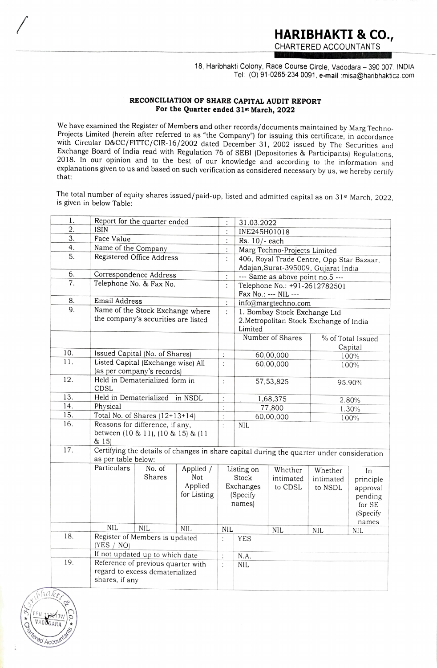18, Haribhakti Colony, Race Course Circle, Vadodara - 390 007. INDIA Tel: (O) 91-0265-234 0091, e-mail misa@haribhaktica.com

## RECONCILIATION OF SHARE CAPITAL AUDIT REPORT For the Quarter ended 31st March, 2022

We have examined the Register of Members and other records/documents maintained by Marg Techno-Projects Limited (herein after referred to as "the Company") for issuing this certificate, in accordance with Circular D&CC/FITTC/CIR-16/2002 dated December 31, 2002 issued by The Securities and Exchange Board of India read with Regulation 76 of SEBI (Depositories & Participants) Regulations, 2018. In our opinion and to the best of our knowledge and according to the information and explanations given to us and based on such verification as considered necessary by us, we hereby certify that:

The total number of equity shares issued/paid-up, listed and admitted capital as on 31st March, 2022, is given in below Table:

| 1.  |                                                                                         | Report for the quarter ended                                                                                     |                                            |                                                        | 31.03.2022                                                                         |                                 |                                 |                                                                       |  |  |  |
|-----|-----------------------------------------------------------------------------------------|------------------------------------------------------------------------------------------------------------------|--------------------------------------------|--------------------------------------------------------|------------------------------------------------------------------------------------|---------------------------------|---------------------------------|-----------------------------------------------------------------------|--|--|--|
| 2.  | ISIN                                                                                    |                                                                                                                  |                                            | $\vdots$                                               | INE245H01018                                                                       |                                 |                                 |                                                                       |  |  |  |
| 3.  | Face Value                                                                              |                                                                                                                  |                                            | $\ddot{\phantom{a}}$                                   | Rs. 10/- each                                                                      |                                 |                                 |                                                                       |  |  |  |
| 4.  | Name of the Company                                                                     |                                                                                                                  |                                            | $\vdots$                                               | Marg Techno-Projects Limited                                                       |                                 |                                 |                                                                       |  |  |  |
| 5.  | Registered Office Address                                                               |                                                                                                                  |                                            |                                                        | 406, Royal Trade Centre, Opp Star Bazaar,<br>Adajan, Surat-395009, Gujarat India   |                                 |                                 |                                                                       |  |  |  |
| 6.  | Correspondence Address                                                                  |                                                                                                                  |                                            |                                                        | --- Same as above point no.5 ---                                                   |                                 |                                 |                                                                       |  |  |  |
| 7.  | Telephone No. & Fax No.                                                                 |                                                                                                                  |                                            | $\colon$<br>$\ddot{\cdot}$                             |                                                                                    | Telephone No.: +91-2612782501   |                                 |                                                                       |  |  |  |
| 8.  |                                                                                         |                                                                                                                  |                                            |                                                        | Fax No.: --- NIL ---                                                               |                                 |                                 |                                                                       |  |  |  |
| 9.  | <b>Email Address</b>                                                                    |                                                                                                                  |                                            |                                                        | info@margtechno.com                                                                |                                 |                                 |                                                                       |  |  |  |
|     | Name of the Stock Exchange where<br>the company's securities are listed                 |                                                                                                                  |                                            |                                                        | 1. Bombay Stock Exchange Ltd<br>2. Metropolitan Stock Exchange of India<br>Limited |                                 |                                 |                                                                       |  |  |  |
|     |                                                                                         |                                                                                                                  |                                            |                                                        |                                                                                    | Number of Shares                |                                 | % of Total Issued<br>Capital                                          |  |  |  |
| 10. |                                                                                         | Issued Capital (No. of Shares)                                                                                   |                                            | ÷                                                      | 60,00,000                                                                          |                                 | 100%                            |                                                                       |  |  |  |
| 11. |                                                                                         | Listed Capital (Exchange wise) All<br>(as per company's records)                                                 |                                            | ÷                                                      | 60,00,000                                                                          |                                 | 100%                            |                                                                       |  |  |  |
| 12. | CDSL                                                                                    | Held in Dematerialized form in                                                                                   |                                            | $\colon$                                               |                                                                                    | 57,53,825                       |                                 | 95.90%                                                                |  |  |  |
| 13. | Held in Dematerialized<br>in NSDL                                                       |                                                                                                                  |                                            | $\colon$                                               | 1,68,375                                                                           |                                 | 2.80%                           |                                                                       |  |  |  |
| 14. | Physical                                                                                |                                                                                                                  |                                            | $\vdots$                                               |                                                                                    | 77,800                          |                                 | 1.30%                                                                 |  |  |  |
| 15. | Total No. of Shares $(12+13+14)$                                                        |                                                                                                                  |                                            | :<br>$\,$                                              |                                                                                    | 60,00,000<br>100%               |                                 |                                                                       |  |  |  |
| 16. | Reasons for difference, if any,<br>between (10 & 11), (10 & 15) & (11<br>& 15)          |                                                                                                                  |                                            | $\ddot{\cdot}$                                         | <b>NIL</b>                                                                         |                                 |                                 |                                                                       |  |  |  |
| 17. |                                                                                         | Certifying the details of changes in share capital during the quarter under consideration<br>as per table below: |                                            |                                                        |                                                                                    |                                 |                                 |                                                                       |  |  |  |
|     | Particulars                                                                             | No. of<br>Shares                                                                                                 | Applied /<br>Not<br>Applied<br>for Listing | Listing on<br>Stock<br>Exchanges<br>(Specify<br>names) |                                                                                    | Whether<br>intimated<br>to CDSL | Whether<br>intimated<br>to NSDL | In<br>principle<br>approval<br>pending<br>for SE<br>(Specify<br>names |  |  |  |
|     | <b>NIL</b>                                                                              | <b>NIL</b>                                                                                                       | NIL                                        | NIL                                                    |                                                                                    | <b>NIL</b>                      | <b>NIL</b>                      | <b>NIL</b>                                                            |  |  |  |
| 18. | Register of Members is updated<br>(YES / NO)                                            |                                                                                                                  |                                            | ł.                                                     | <b>YES</b>                                                                         |                                 |                                 |                                                                       |  |  |  |
|     | If not updated up to which date                                                         |                                                                                                                  |                                            |                                                        | N.A.                                                                               |                                 |                                 |                                                                       |  |  |  |
| 19. | Reference of previous quarter with<br>regard to excess dematerialized<br>shares, if any |                                                                                                                  |                                            | $\vdots$<br>$\ddot{\cdot}$                             | NIL                                                                                |                                 |                                 |                                                                       |  |  |  |